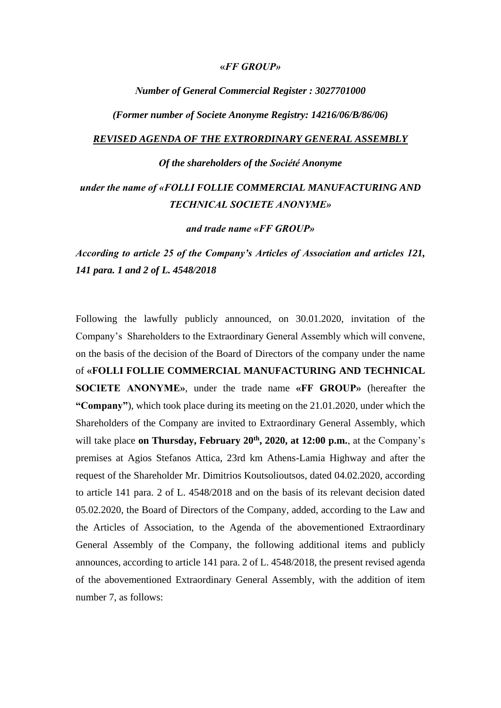#### **«***FF GROUP»*

#### *Νumber of General Commercial Register : 3027701000*

*(Former number οf Societe Anonyme Registry: 14216/06/B/86/06)*

#### *REVISED AGENDA OF THE EXTRORDINARY GENERAL ASSEMBLY*

#### *Οf the shareholders of the Société Anonyme*

## *under the name of «FOLLI FOLLIE COMMERCIAL MANUFACTURING AND TECHNICAL SOCIETE ANONYME»*

*and trade name «FF GROUP»*

*According to article 25 of the Company's Articles of Association and articles 121, 141 para. 1 and 2 of L. 4548/2018*

Following the lawfully publicly announced, on 30.01.2020, invitation of the Company's Shareholders to the Extraordinary General Assembly which will convene, on the basis of the decision of the Board of Directors of the company under the name of **«FOLLI FOLLIE COMMERCIAL MANUFACTURING AND TECHNICAL SOCIETE ANONYME»**, under the trade name **«FF GROUP»** (hereafter the **"Company"**), which took place during its meeting on the 21.01.2020, under which the Shareholders of the Company are invited to Extraordinary General Assembly, which will take place **on Thursday, February 20th , 2020, at 12:00 p.m.**, at the Company's premises at Agios Stefanos Attica, 23rd km Athens-Lamia Highway and after the request of the Shareholder Mr. Dimitrios Koutsolioutsos, dated 04.02.2020, according to article 141 para. 2 of L. 4548/2018 and on the basis of its relevant decision dated 05.02.2020, the Board of Directors of the Company, added, according to the Law and the Articles of Association, to the Agenda of the abovementioned Extraordinary General Assembly of the Company, the following additional items and publicly announces, according to article 141 para. 2 of L. 4548/2018, the present revised agenda of the abovementioned Extraordinary General Assembly, with the addition of item number 7, as follows: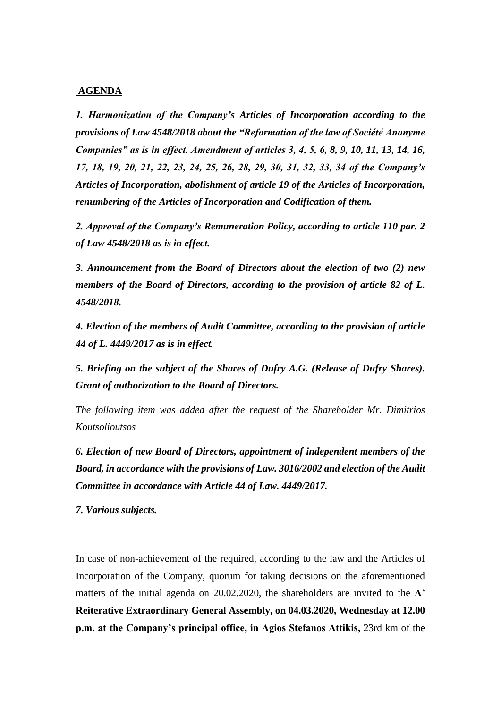#### **AGENDA**

*1. Harmonization of the Company's Articles of Incorporation according to the provisions of Law 4548/2018 about the "Reformation of the law of Société Anonyme Companies" as is in effect. Amendment of articles 3, 4, 5, 6, 8, 9, 10, 11, 13, 14, 16, 17, 18, 19, 20, 21, 22, 23, 24, 25, 26, 28, 29, 30, 31, 32, 33, 34 of the Company's Articles of Incorporation, abolishment of article 19 of the Articles of Incorporation, renumbering of the Articles of Incorporation and Codification of them.*

*2. Approval of the Company's Remuneration Policy, according to article 110 par. 2 of Law 4548/2018 as is in effect.*

*3. Announcement from the Board of Directors about the election of two (2) new members of the Board of Directors, according to the provision of article 82 of L. 4548/2018.*

*4. Election of the members of Audit Committee, according to the provision of article 44 of L. 4449/2017 as is in effect.*

*5. Briefing on the subject of the Shares of Dufry A.G. (Release of Dufry Shares). Grant of authorization to the Board of Directors.*

*The following item was added after the request of the Shareholder Mr. Dimitrios Koutsolioutsos*

*6. Election of new Board of Directors, appointment of independent members of the Board, in accordance with the provisions of Law. 3016/2002 and election of the Audit Committee in accordance with Article 44 of Law. 4449/2017.*

*7. Various subjects.*

In case of non-achievement οf the required, according to the law and the Articles of Incorporation of the Company, quorum for taking decisions on the aforementioned matters of the initial agenda on 20.02.2020, the shareholders are invited to the **A' Reiterative Extraordinary General Assembly, on 04.03.2020, Wednesday at 12.00 p.m. at the Company's principal office, in Agios Stefanos Attikis,** 23rd km of the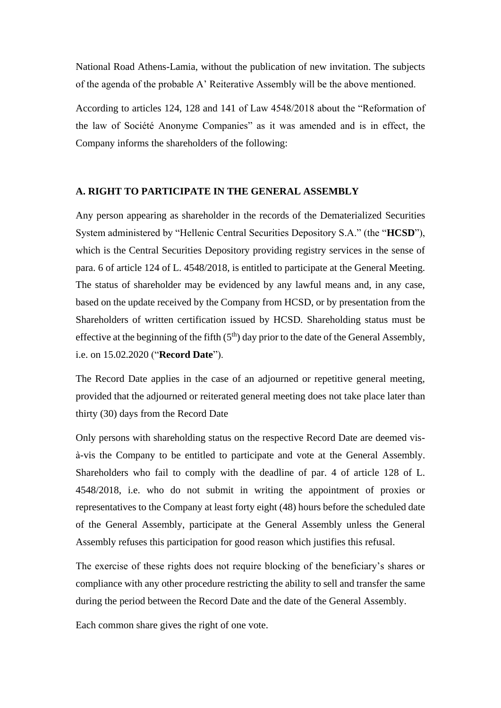National Road Athens-Lamia, without the publication of new invitation. The subjects of the agenda of the probable A' Reiterative Assembly will be the above mentioned.

According to articles 124, 128 and 141 οf Law 4548/2018 about the "Reformation of the law of Société Anonyme Companies" as it was amended and is in effect, the Company informs the shareholders of the following:

#### **A. RIGHT TO PARTICIPATE IN THE GENERAL ASSEMBLY**

Any person appearing as shareholder in the records of the Dematerialized Securities System administered by "Hellenic Central Securities Depository S.A." (the "**HCSD**"), which is the Central Securities Depository providing registry services in the sense of para. 6 of article 124 of L. 4548/2018, is entitled to participate at the General Meeting. The status of shareholder may be evidenced by any lawful means and, in any case, based on the update received by the Company from HCSD, or by presentation from the Shareholders of written certification issued by HCSD. Shareholding status must be effective at the beginning of the fifth  $(5<sup>th</sup>)$  day prior to the date of the General Assembly, i.e. on 15.02.2020 ("**Record Date**").

The Record Date applies in the case of an adjourned or repetitive general meeting, provided that the adjourned or reiterated general meeting does not take place later than thirty (30) days from the Record Date

Only persons with shareholding status on the respective Record Date are deemed visà-vis the Company to be entitled to participate and vote at the General Assembly. Shareholders who fail to comply with the deadline of par. 4 of article 128 of L. 4548/2018, i.e. who do not submit in writing the appointment of proxies or representatives to the Company at least forty eight (48) hours before the scheduled date of the General Assembly, participate at the General Assembly unless the General Assembly refuses this participation for good reason which justifies this refusal.

The exercise of these rights does not require blocking of the beneficiary's shares or compliance with any other procedure restricting the ability to sell and transfer the same during the period between the Record Date and the date of the General Assembly.

Each common share gives the right of one vote.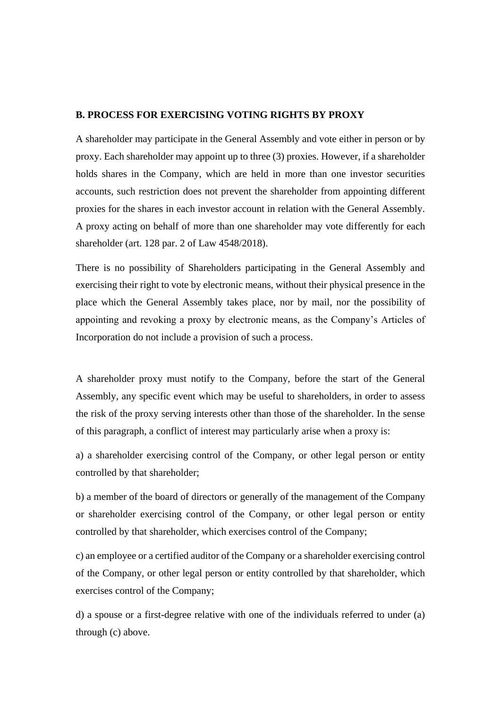### **B. PROCESS FOR EXERCISING VOTING RIGHTS BY PROXY**

A shareholder may participate in the General Assembly and vote either in person or by proxy. Each shareholder may appoint up to three (3) proxies. However, if a shareholder holds shares in the Company, which are held in more than one investor securities accounts, such restriction does not prevent the shareholder from appointing different proxies for the shares in each investor account in relation with the General Assembly. A proxy acting on behalf of more than one shareholder may vote differently for each shareholder (art. 128 par. 2 of Law 4548/2018).

There is no possibility of Shareholders participating in the General Assembly and exercising their right to vote by electronic means, without their physical presence in the place which the General Assembly takes place, nor by mail, nor the possibility of appointing and revoking a proxy by electronic means, as the Company's Articles of Incorporation do not include a provision of such a process.

A shareholder proxy must notify to the Company, before the start of the General Assembly, any specific event which may be useful to shareholders, in order to assess the risk of the proxy serving interests other than those of the shareholder. In the sense of this paragraph, a conflict of interest may particularly arise when a proxy is:

a) a shareholder exercising control of the Company, or other legal person or entity controlled by that shareholder;

b) a member of the board of directors or generally of the management of the Company or shareholder exercising control of the Company, or other legal person or entity controlled by that shareholder, which exercises control of the Company;

c) an employee or a certified auditor of the Company or a shareholder exercising control of the Company, or other legal person or entity controlled by that shareholder, which exercises control of the Company;

d) a spouse or a first-degree relative with one of the individuals referred to under (a) through (c) above.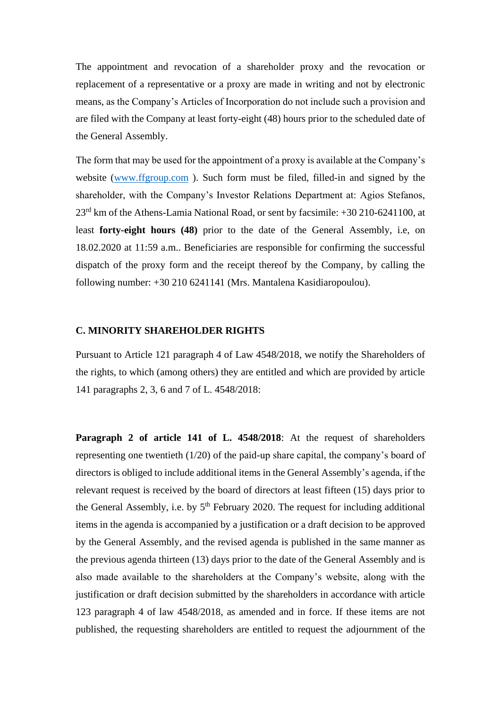The appointment and revocation of a shareholder proxy and the revocation or replacement of a representative or a proxy are made in writing and not by electronic means, as the Company's Articles of Incorporation do not include such a provision and are filed with the Company at least forty-eight (48) hours prior to the scheduled date of the General Assembly.

The form that may be used for the appointment of a proxy is available at the Company's website [\(www.ffgroup.com](http://www.ffgroup.com/)). Such form must be filed, filled-in and signed by the shareholder, with the Company's Investor Relations Department at: Agios Stefanos, 23rd km of the Athens-Lamia National Road, or sent by facsimile: +30 210-6241100, at least **forty-eight hours (48)** prior to the date of the General Assembly, i.e, on 18.02.2020 at 11:59 a.m.. Beneficiaries are responsible for confirming the successful dispatch of the proxy form and the receipt thereof by the Company, by calling the following number: +30 210 6241141 (Mrs. Mantalena Kasidiaropoulou).

#### **C. MINORITY SHAREHOLDER RIGHTS**

Pursuant to Article 121 paragraph 4 of Law 4548/2018, we notify the Shareholders of the rights, to which (among others) they are entitled and which are provided by article 141 paragraphs 2, 3, 6 and 7 of L. 4548/2018:

**Paragraph 2 of article 141 of L. 4548/2018**: At the request of shareholders representing one twentieth (1/20) of the paid-up share capital, the company's board of directors is obliged to include additional items in the General Assembly's agenda, if the relevant request is received by the board of directors at least fifteen (15) days prior to the General Assembly, i.e. by  $5<sup>th</sup>$  February 2020. The request for including additional items in the agenda is accompanied by a justification or a draft decision to be approved by the General Assembly, and the revised agenda is published in the same manner as the previous agenda thirteen (13) days prior to the date of the General Assembly and is also made available to the shareholders at the Company's website, along with the justification or draft decision submitted by the shareholders in accordance with article 123 paragraph 4 of law 4548/2018, as amended and in force. If these items are not published, the requesting shareholders are entitled to request the adjournment of the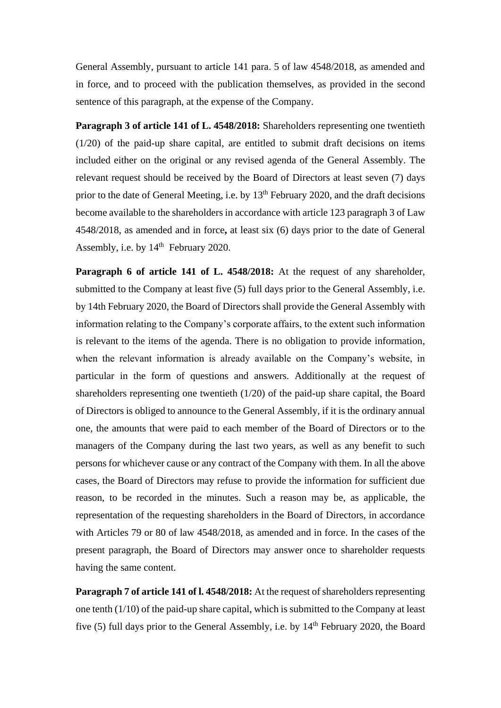General Assembly, pursuant to article 141 para. 5 of law 4548/2018, as amended and in force, and to proceed with the publication themselves, as provided in the second sentence of this paragraph, at the expense of the Company.

**Paragraph 3 of article 141 of L. 4548/2018:** Shareholders representing one twentieth (1/20) of the paid-up share capital, are entitled to submit draft decisions on items included either on the original or any revised agenda of the General Assembly. The relevant request should be received by the Board of Directors at least seven (7) days prior to the date of General Meeting, i.e. by  $13<sup>th</sup>$  February 2020, and the draft decisions become available to the shareholders in accordance with article 123 paragraph 3 of Law 4548/2018, as amended and in force**,** at least six (6) days prior to the date of General Assembly, i.e. by  $14<sup>th</sup>$  February 2020.

**Paragraph 6 of article 141 of L. 4548/2018:** At the request of any shareholder, submitted to the Company at least five (5) full days prior to the General Assembly, i.e. by 14th February 2020, the Board of Directors shall provide the General Assembly with information relating to the Company's corporate affairs, to the extent such information is relevant to the items of the agenda. There is no obligation to provide information, when the relevant information is already available on the Company's website, in particular in the form of questions and answers. Additionally at the request of shareholders representing one twentieth (1/20) of the paid-up share capital, the Board of Directors is obliged to announce to the General Assembly, if it is the ordinary annual one, the amounts that were paid to each member of the Board of Directors or to the managers of the Company during the last two years, as well as any benefit to such persons for whichever cause or any contract of the Company with them. In all the above cases, the Board of Directors may refuse to provide the information for sufficient due reason, to be recorded in the minutes. Such a reason may be, as applicable, the representation of the requesting shareholders in the Board of Directors, in accordance with Articles 79 or 80 of law 4548/2018, as amended and in force. In the cases of the present paragraph, the Board of Directors may answer once to shareholder requests having the same content.

**Paragraph 7 of article 141 of l. 4548/2018:** At the request of shareholders representing one tenth (1/10) of the paid-up share capital, which is submitted to the Company at least five (5) full days prior to the General Assembly, i.e. by 14<sup>th</sup> February 2020, the Board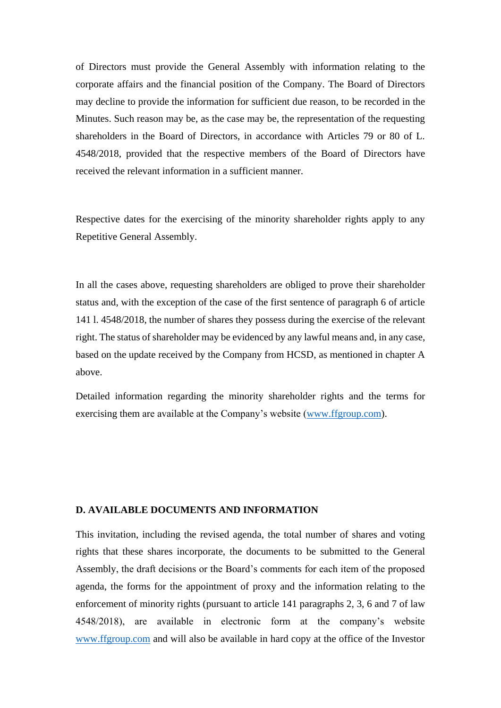of Directors must provide the General Assembly with information relating to the corporate affairs and the financial position of the Company. The Board of Directors may decline to provide the information for sufficient due reason, to be recorded in the Minutes. Such reason may be, as the case may be, the representation of the requesting shareholders in the Board of Directors, in accordance with Articles 79 or 80 of L. 4548/2018, provided that the respective members of the Board of Directors have received the relevant information in a sufficient manner.

Respective dates for the exercising of the minority shareholder rights apply to any Repetitive General Assembly.

In all the cases above, requesting shareholders are obliged to prove their shareholder status and, with the exception of the case of the first sentence of paragraph 6 of article 141 l. 4548/2018, the number of shares they possess during the exercise of the relevant right. The status of shareholder may be evidenced by any lawful means and, in any case, based on the update received by the Company from HCSD, as mentioned in chapter A above.

Detailed information regarding the minority shareholder rights and the terms for exercising them are available at the Company's website [\(www.ffgroup.com\)](http://www.ffgroup.com/).

#### **D. AVAILABLE DOCUMENTS AND INFORMATION**

This invitation, including the revised agenda, the total number of shares and voting rights that these shares incorporate, the documents to be submitted to the General Assembly, the draft decisions or the Board's comments for each item of the proposed agenda, the forms for the appointment of proxy and the information relating to the enforcement of minority rights (pursuant to article 141 paragraphs 2, 3, 6 and 7 of law 4548/2018), are available in electronic form at the company's website [www.ffgroup.com](http://www.ffgroup.com/) and will also be available in hard copy at the office of the Investor